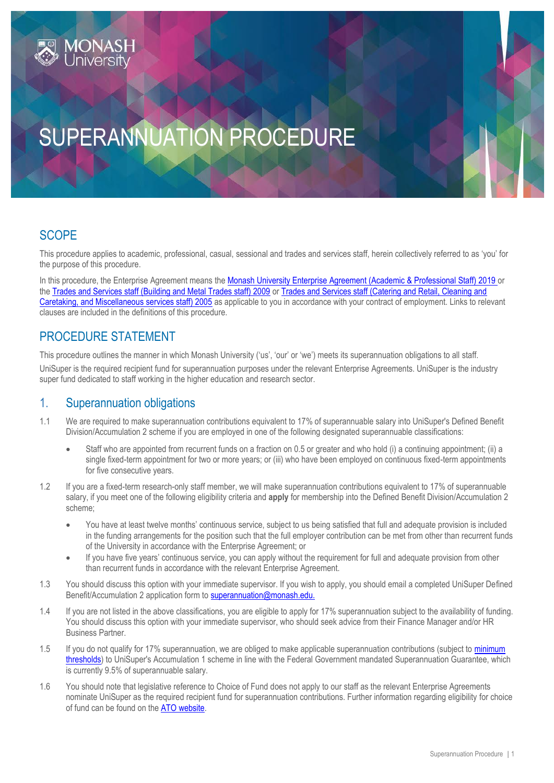# SUPERANNUATION PROCEDURE

# **SCOPE**

This procedure applies to academic, professional, casual, sessional and trades and services staff, herein collectively referred to as 'you' for the purpose of this procedure.

In this procedure, the Enterprise Agreement means the [Monash University Enterprise Agreement \(Academic & Professional Staff\) 2019](https://www.monash.edu/current-enterprise-agreements/academic-professional-2019) or the [Trades and Services staff \(Building and Metal Trades staff\) 2009](https://www.monash.edu/current-enterprise-agreements/trades-services-bmt-2009) or [Trades and Services staff \(Catering and Retail, Cleaning and](https://www.monash.edu/current-enterprise-agreements/trades-services-crccm-2005)  [Caretaking, and Miscellaneous services staff\) 2005](https://www.monash.edu/current-enterprise-agreements/trades-services-crccm-2005) as applicable to you in accordance with your contract of employment. Links to relevant clauses are included in the definitions of this procedure.

# PROCEDURE STATEMENT

This procedure outlines the manner in which Monash University ('us', 'our' or 'we') meets its superannuation obligations to all staff. UniSuper is the required recipient fund for superannuation purposes under the relevant Enterprise Agreements. UniSuper is the industry super fund dedicated to staff working in the higher education and research sector.

## 1. Superannuation obligations

- 1.1 We are required to make superannuation contributions equivalent to 17% of superannuable salary into UniSuper's Defined Benefit Division/Accumulation 2 scheme if you are employed in one of the following designated superannuable classifications:
	- Staff who are appointed from recurrent funds on a fraction on 0.5 or greater and who hold (i) a continuing appointment; (ii) a single fixed-term appointment for two or more years; or (iii) who have been employed on continuous fixed-term appointments for five consecutive years.
- 1.2 If you are a fixed-term research-only staff member, we will make superannuation contributions equivalent to 17% of superannuable salary, if you meet one of the following eligibility criteria and **apply** for membership into the Defined Benefit Division/Accumulation 2 scheme;
	- You have at least twelve months' continuous service, subject to us being satisfied that full and adequate provision is included in the funding arrangements for the position such that the full employer contribution can be met from other than recurrent funds of the University in accordance with the Enterprise Agreement; or
	- If you have five years' continuous service, you can apply without the requirement for full and adequate provision from other than recurrent funds in accordance with the relevant Enterprise Agreement.
- 1.3 You should discuss this option with your immediate supervisor. If you wish to apply, you should email a completed UniSuper Defined Benefit/Accumulation 2 application form t[o superannuation@monash.edu.](mailto:superannuation@monash.edu.)
- 1.4 If you are not listed in the above classifications, you are eligible to apply for 17% superannuation subject to the availability of funding. You should discuss this option with your immediate supervisor, who should seek advice from their Finance Manager and/or HR Business Partner.
- 1.5 If you do not qualify for 17% superannuation, we are obliged to make applicable superannuation contributions (subject to minimum [thresholds\)](https://www.ato.gov.au/individuals/super/getting-your-super-started/employees/) to UniSuper's Accumulation 1 scheme in line with the Federal Government mandated Superannuation Guarantee, which is currently 9.5% of superannuable salary.
- 1.6 You should note that legislative reference to Choice of Fund does not apply to our staff as the relevant Enterprise Agreements nominate UniSuper as the required recipient fund for superannuation contributions. Further information regarding eligibility for choice of fund can be found on the [ATO website.](https://www.ato.gov.au/business/super-for-employers/setting-up-super/offer-your-employees-a-choice-of-fund/)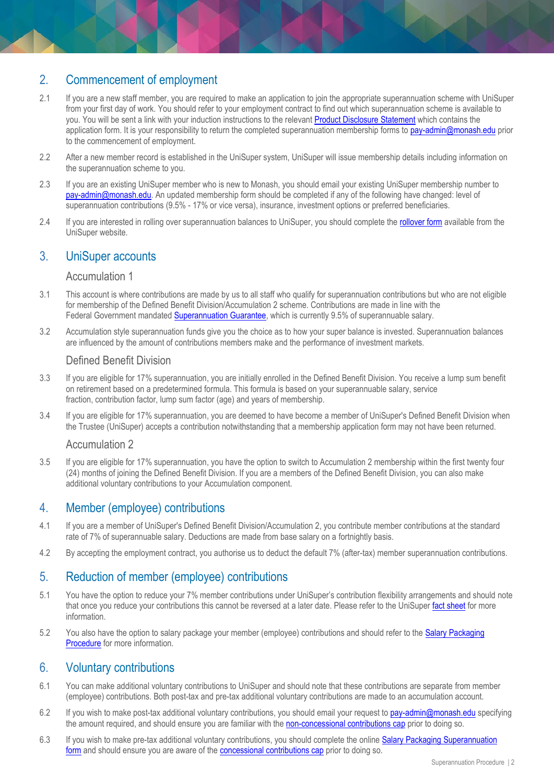# 2. Commencement of employment

- 2.1 If you are a new staff member, you are required to make an application to join the appropriate superannuation scheme with UniSuper from your first day of work. You should refer to your employment contract to find out which superannuation scheme is available to you. You will be sent a link with your induction instructions to the relevant [Product Disclosure Statement](https://www.unisuper.com.au/forms-and-documents/product-disclosure-statements) which contains the application form. It is your responsibility to return the completed superannuation membership forms to [pay-admin@monash.edu](mailto:Pay-Admin@monash.edu) prior to the commencement of employment.
- 2.2 After a new member record is established in the UniSuper system, UniSuper will issue membership details including information on the superannuation scheme to you.
- 2.3 If you are an existing UniSuper member who is new to Monash, you should email your existing UniSuper membership number to [pay-admin@monash.edu.](mailto:Pay-Admin@monash.edu) An updated membership form should be completed if any of the following have changed: level of superannuation contributions (9.5% - 17% or vice versa), insurance, investment options or preferred beneficiaries.
- 2.4 If you are interested in rolling over superannuation balances to UniSuper, you should complete the [rollover form](https://www.unisuper.com.au/~/media/files/forms%20and%20downloads/forms%20and%20brochures/contributing%20to%20super/unisf00003-combine-my-super-rollover-form.pdf) available from the UniSuper website.

## 3. UniSuper accounts

#### Accumulation 1

- 3.1 This account is where contributions are made by us to all staff who qualify for superannuation contributions but who are not eligible for membership of the Defined Benefit Division/Accumulation 2 scheme. Contributions are made in line with the Federal Government mandated [Superannuation Guarantee,](https://www.ato.gov.au/Rates/key-superannuation-rates-and-thresholds/?page=23#Super_guarantee) which is currently 9.5% of superannuable salary.
- 3.2 Accumulation style superannuation funds give you the choice as to how your super balance is invested. Superannuation balances are influenced by the amount of contributions members make and the performance of investment markets.

#### Defined Benefit Division

- 3.3 If you are eligible for 17% superannuation, you are initially enrolled in the Defined Benefit Division. You receive a lump sum benefit on retirement based on a predetermined formula. This formula is based on your superannuable salary, service fraction, contribution factor, lump sum factor (age) and years of membership.
- 3.4 If you are eligible for 17% superannuation, you are deemed to have become a member of UniSuper's Defined Benefit Division when the Trustee (UniSuper) accepts a contribution notwithstanding that a membership application form may not have been returned.

#### Accumulation 2

3.5 If you are eligible for 17% superannuation, you have the option to switch to Accumulation 2 membership within the first twenty four (24) months of joining the Defined Benefit Division. If you are a members of the Defined Benefit Division, you can also make additional voluntary contributions to your Accumulation component.

## 4. Member (employee) contributions

- 4.1 If you are a member of UniSuper's Defined Benefit Division/Accumulation 2, you contribute member contributions at the standard rate of 7% of superannuable salary. Deductions are made from base salary on a fortnightly basis.
- 4.2 By accepting the employment contract, you authorise us to deduct the default 7% (after-tax) member superannuation contributions.

## 5. Reduction of member (employee) contributions

- 5.1 You have the option to reduce your 7% member contributions under UniSuper's contribution flexibility arrangements and should note that once you reduce your contributions this cannot be reversed at a later date. Please refer to the UniSuper [fact sheet](https://www.unisuper.com.au/~/media/files/forms%20and%20downloads/forms%20and%20brochures/defined%20benefit%20division%20and%20accumulation%202%20members/default-member-contributions-fact-sheet-and-form.pdf) for more information.
- 5.2 You also have the option to salary package your member (employee) contributions and should refer to the [Salary Packaging](https://publicpolicydms.monash.edu/Monash/documents/1935719)  [Procedure](https://publicpolicydms.monash.edu/Monash/documents/1935719) for more information.

#### 6. Voluntary contributions

- 6.1 You can make additional voluntary contributions to UniSuper and should note that these contributions are separate from member (employee) contributions. Both post-tax and pre-tax additional voluntary contributions are made to an accumulation account.
- 6.2 If you wish to make post-tax additional voluntary contributions, you should email your request to [pay-admin@monash.edu](mailto:pay-admin@monash.edu) specifying the amount required, and should ensure you are familiar with the [non-concessional contributions cap](https://www.ato.gov.au/Rates/Key-superannuation-rates-and-thresholds/?page=4#Non_concessional_contributions_cap) prior to doing so.
- 6.3 If you wish to make pre-tax additional voluntary contributions, you should complete the online [Salary Packaging Superannuation](https://forms.apps.monash.edu/frevvo/web/tn/monash.edu/user/admin/app/_snIdwJ74Eea9q6CNQXsWJw/formtype/_gaJTENhJEea6BKQRO0yDfw?_method=post&embed=true)  [form](https://forms.apps.monash.edu/frevvo/web/tn/monash.edu/user/admin/app/_snIdwJ74Eea9q6CNQXsWJw/formtype/_gaJTENhJEea6BKQRO0yDfw?_method=post&embed=true) and should ensure you are aware of the [concessional contributions cap](https://www.ato.gov.au/Rates/Key-superannuation-rates-and-thresholds/?page=2#Concessional_contributions_cap) prior to doing so.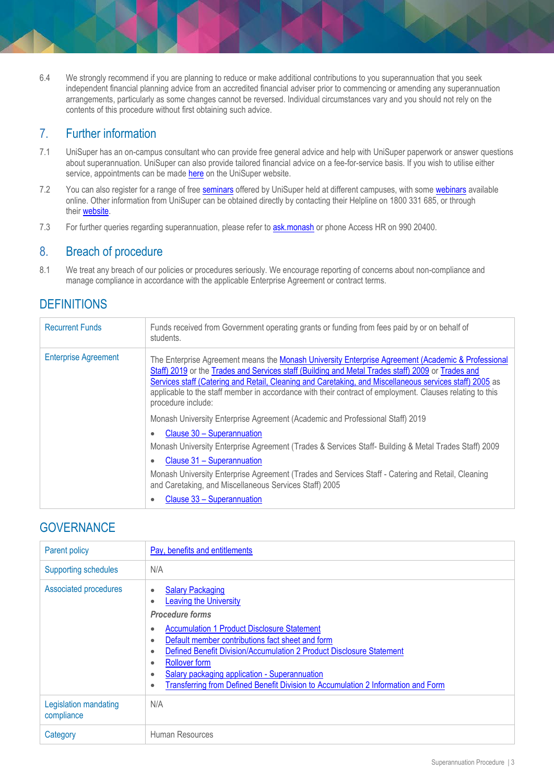6.4 We strongly recommend if you are planning to reduce or make additional contributions to you superannuation that you seek independent financial planning advice from an accredited financial adviser prior to commencing or amending any superannuation arrangements, particularly as some changes cannot be reversed. Individual circumstances vary and you should not rely on the contents of this procedure without first obtaining such advice.

# 7. Further information

- 7.1 UniSuper has an on-campus consultant who can provide free general advice and help with UniSuper paperwork or answer questions about superannuation. UniSuper can also provide tailored financial advice on a fee-for-service basis. If you wish to utilise either service, appointments can be made [here](http://www.unisuper.com.au/employers/universities/monash-university) on the UniSuper website.
- 7.2 You can also register for a range of free [seminars](http://www.unisuper.com.au/learning-centre/seminars) offered by UniSuper held at different campuses, with some [webinars](http://www.unisuper.com.au/learning-centre/webinars) available online. Other information from UniSuper can be obtained directly by contacting their Helpline on 1800 331 685, or through their [website.](http://www.unisuper.com.au/)
- 7.3 For further queries regarding superannuation, please refer to **[ask.monash](https://connect.monash.edu/askmonash/s/)** or phone Access HR on 990 20400.

## 8. Breach of procedure

8.1 We treat any breach of our policies or procedures seriously. We encourage reporting of concerns about non-compliance and manage compliance in accordance with the applicable Enterprise Agreement or contract terms.

# **DEFINITIONS**

| <b>Recurrent Funds</b>      | Funds received from Government operating grants or funding from fees paid by or on behalf of<br>students.                                                                                                                                                                                                                                                                                                                                            |
|-----------------------------|------------------------------------------------------------------------------------------------------------------------------------------------------------------------------------------------------------------------------------------------------------------------------------------------------------------------------------------------------------------------------------------------------------------------------------------------------|
| <b>Enterprise Agreement</b> | The Enterprise Agreement means the Monash University Enterprise Agreement (Academic & Professional<br>Staff) 2019 or the Trades and Services staff (Building and Metal Trades staff) 2009 or Trades and<br>Services staff (Catering and Retail, Cleaning and Caretaking, and Miscellaneous services staff) 2005 as<br>applicable to the staff member in accordance with their contract of employment. Clauses relating to this<br>procedure include: |
|                             | Monash University Enterprise Agreement (Academic and Professional Staff) 2019                                                                                                                                                                                                                                                                                                                                                                        |
|                             | Clause 30 - Superannuation<br>٠                                                                                                                                                                                                                                                                                                                                                                                                                      |
|                             | Monash University Enterprise Agreement (Trades & Services Staff- Building & Metal Trades Staff) 2009                                                                                                                                                                                                                                                                                                                                                 |
|                             | Clause 31 - Superannuation<br>$\bullet$                                                                                                                                                                                                                                                                                                                                                                                                              |
|                             | Monash University Enterprise Agreement (Trades and Services Staff - Catering and Retail, Cleaning<br>and Caretaking, and Miscellaneous Services Staff) 2005                                                                                                                                                                                                                                                                                          |
|                             | Clause 33 – Superannuation                                                                                                                                                                                                                                                                                                                                                                                                                           |

# **GOVERNANCE**

| <b>Parent policy</b>                | Pay, benefits and entitlements                                                                                                                                                                                                                                                                                                                                                                                                                                                                     |
|-------------------------------------|----------------------------------------------------------------------------------------------------------------------------------------------------------------------------------------------------------------------------------------------------------------------------------------------------------------------------------------------------------------------------------------------------------------------------------------------------------------------------------------------------|
| <b>Supporting schedules</b>         | N/A                                                                                                                                                                                                                                                                                                                                                                                                                                                                                                |
| Associated procedures               | <b>Salary Packaging</b><br>$\bullet$<br><b>Leaving the University</b><br>$\bullet$<br><b>Procedure forms</b><br><b>Accumulation 1 Product Disclosure Statement</b><br>٠<br>Default member contributions fact sheet and form<br>$\bullet$<br>Defined Benefit Division/Accumulation 2 Product Disclosure Statement<br>٠<br><b>Rollover form</b><br>٠<br>Salary packaging application - Superannuation<br>٠<br>Transferring from Defined Benefit Division to Accumulation 2 Information and Form<br>٠ |
| Legislation mandating<br>compliance | N/A                                                                                                                                                                                                                                                                                                                                                                                                                                                                                                |
| Category                            | Human Resources                                                                                                                                                                                                                                                                                                                                                                                                                                                                                    |